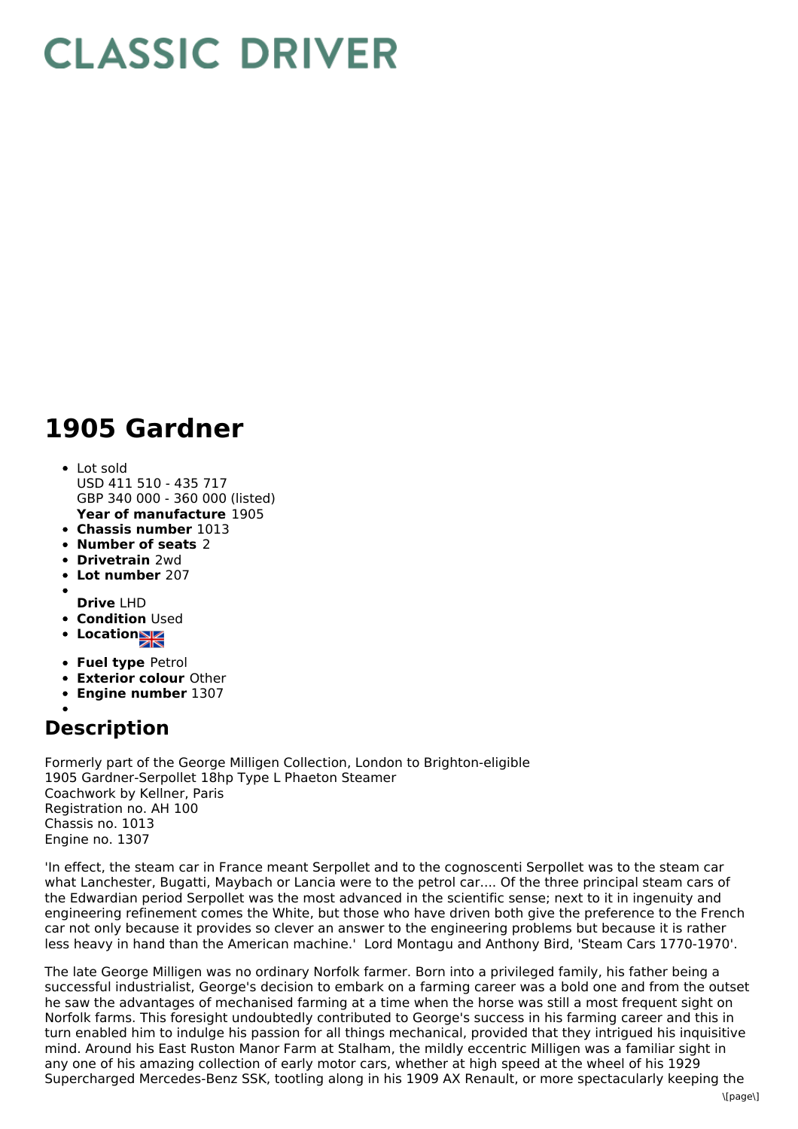## **CLASSIC DRIVER**

## **1905 Gardner**

- **Year of manufacture** 1905 Lot sold USD 411 510 - 435 717 GBP 340 000 - 360 000 (listed)
- **Chassis number** 1013
- **Number of seats** 2
- **Drivetrain** 2wd
- **Lot number** 207
- 
- **Drive** LHD
- **Condition Used**
- **Locations**
- **Fuel type** Petrol
- **Exterior colour** Other
- **Engine number** 1307

## **Description**

Formerly part of the George Milligen Collection, London to Brighton-eligible 1905 Gardner-Serpollet 18hp Type L Phaeton Steamer Coachwork by Kellner, Paris Registration no. AH 100 Chassis no. 1013 Engine no. 1307

'In effect, the steam car in France meant Serpollet and to the cognoscenti Serpollet was to the steam car what Lanchester, Bugatti, Maybach or Lancia were to the petrol car.... Of the three principal steam cars of the Edwardian period Serpollet was the most advanced in the scientific sense; next to it in ingenuity and engineering refinement comes the White, but those who have driven both give the preference to the French car not only because it provides so clever an answer to the engineering problems but because it is rather less heavy in hand than the American machine.' Lord Montagu and Anthony Bird, 'Steam Cars 1770-1970'.

The late George Milligen was no ordinary Norfolk farmer. Born into a privileged family, his father being a successful industrialist, George's decision to embark on a farming career was a bold one and from the outset he saw the advantages of mechanised farming at a time when the horse was still a most frequent sight on Norfolk farms. This foresight undoubtedly contributed to George's success in his farming career and this in turn enabled him to indulge his passion for all things mechanical, provided that they intrigued his inquisitive mind. Around his East Ruston Manor Farm at Stalham, the mildly eccentric Milligen was a familiar sight in any one of his amazing collection of early motor cars, whether at high speed at the wheel of his 1929 Supercharged Mercedes-Benz SSK, tootling along in his 1909 AX Renault, or more spectacularly keeping the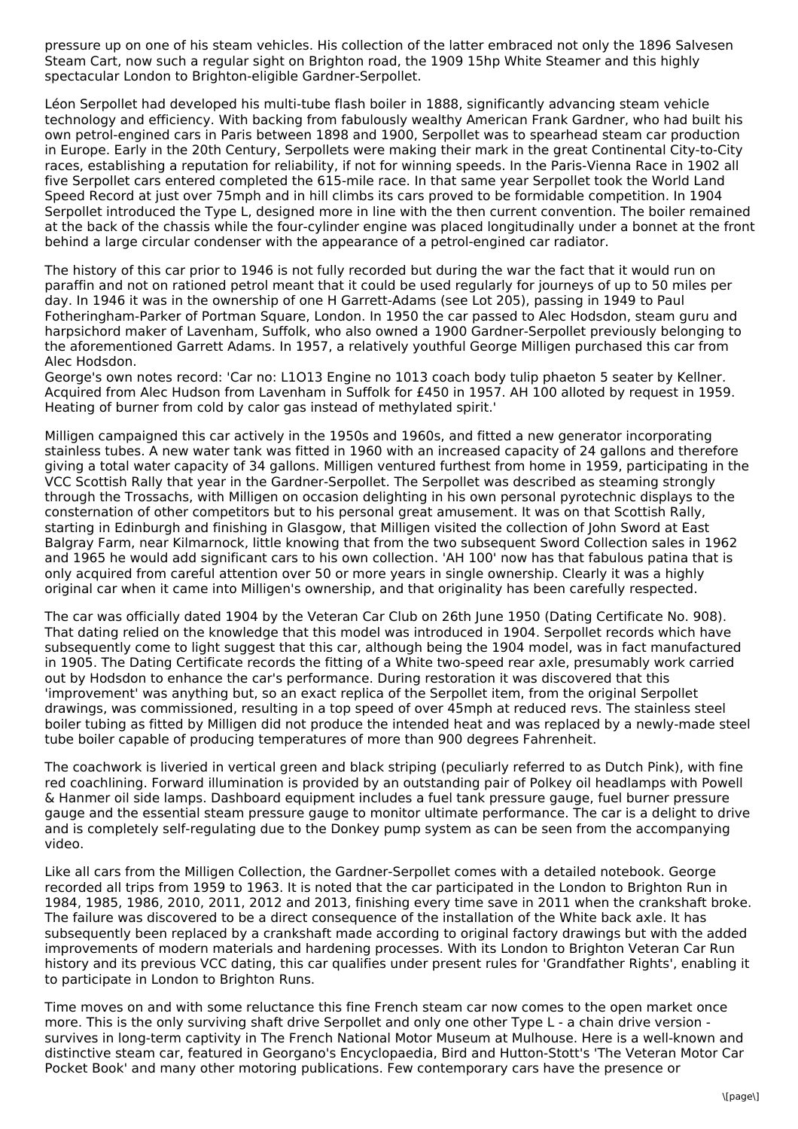pressure up on one of his steam vehicles. His collection of the latter embraced not only the 1896 Salvesen Steam Cart, now such a regular sight on Brighton road, the 1909 15hp White Steamer and this highly spectacular London to Brighton-eligible Gardner-Serpollet.

Léon Serpollet had developed his multi-tube flash boiler in 1888, significantly advancing steam vehicle technology and efficiency. With backing from fabulously wealthy American Frank Gardner, who had built his own petrol-engined cars in Paris between 1898 and 1900, Serpollet was to spearhead steam car production in Europe. Early in the 20th Century, Serpollets were making their mark in the great Continental City-to-City races, establishing a reputation for reliability, if not for winning speeds. In the Paris-Vienna Race in 1902 all five Serpollet cars entered completed the 615-mile race. In that same year Serpollet took the World Land Speed Record at just over 75mph and in hill climbs its cars proved to be formidable competition. In 1904 Serpollet introduced the Type L, designed more in line with the then current convention. The boiler remained at the back of the chassis while the four-cylinder engine was placed longitudinally under a bonnet at the front behind a large circular condenser with the appearance of a petrol-engined car radiator.

The history of this car prior to 1946 is not fully recorded but during the war the fact that it would run on paraffin and not on rationed petrol meant that it could be used regularly for journeys of up to 50 miles per day. In 1946 it was in the ownership of one H Garrett-Adams (see Lot 205), passing in 1949 to Paul Fotheringham-Parker of Portman Square, London. In 1950 the car passed to Alec Hodsdon, steam guru and harpsichord maker of Lavenham, Suffolk, who also owned a 1900 Gardner-Serpollet previously belonging to the aforementioned Garrett Adams. In 1957, a relatively youthful George Milligen purchased this car from Alec Hodsdon.

George's own notes record: 'Car no: L1O13 Engine no 1013 coach body tulip phaeton 5 seater by Kellner. Acquired from Alec Hudson from Lavenham in Suffolk for £450 in 1957. AH 100 alloted by request in 1959. Heating of burner from cold by calor gas instead of methylated spirit.'

Milligen campaigned this car actively in the 1950s and 1960s, and fitted a new generator incorporating stainless tubes. A new water tank was fitted in 1960 with an increased capacity of 24 gallons and therefore giving a total water capacity of 34 gallons. Milligen ventured furthest from home in 1959, participating in the VCC Scottish Rally that year in the Gardner-Serpollet. The Serpollet was described as steaming strongly through the Trossachs, with Milligen on occasion delighting in his own personal pyrotechnic displays to the consternation of other competitors but to his personal great amusement. It was on that Scottish Rally, starting in Edinburgh and finishing in Glasgow, that Milligen visited the collection of John Sword at East Balgray Farm, near Kilmarnock, little knowing that from the two subsequent Sword Collection sales in 1962 and 1965 he would add significant cars to his own collection. 'AH 100' now has that fabulous patina that is only acquired from careful attention over 50 or more years in single ownership. Clearly it was a highly original car when it came into Milligen's ownership, and that originality has been carefully respected.

The car was officially dated 1904 by the Veteran Car Club on 26th June 1950 (Dating Certificate No. 908). That dating relied on the knowledge that this model was introduced in 1904. Serpollet records which have subsequently come to light suggest that this car, although being the 1904 model, was in fact manufactured in 1905. The Dating Certificate records the fitting of a White two-speed rear axle, presumably work carried out by Hodsdon to enhance the car's performance. During restoration it was discovered that this 'improvement' was anything but, so an exact replica of the Serpollet item, from the original Serpollet drawings, was commissioned, resulting in a top speed of over 45mph at reduced revs. The stainless steel boiler tubing as fitted by Milligen did not produce the intended heat and was replaced by a newly-made steel tube boiler capable of producing temperatures of more than 900 degrees Fahrenheit.

The coachwork is liveried in vertical green and black striping (peculiarly referred to as Dutch Pink), with fine red coachlining. Forward illumination is provided by an outstanding pair of Polkey oil headlamps with Powell & Hanmer oil side lamps. Dashboard equipment includes a fuel tank pressure gauge, fuel burner pressure gauge and the essential steam pressure gauge to monitor ultimate performance. The car is a delight to drive and is completely self-regulating due to the Donkey pump system as can be seen from the accompanying video.

Like all cars from the Milligen Collection, the Gardner-Serpollet comes with a detailed notebook. George recorded all trips from 1959 to 1963. It is noted that the car participated in the London to Brighton Run in 1984, 1985, 1986, 2010, 2011, 2012 and 2013, finishing every time save in 2011 when the crankshaft broke. The failure was discovered to be a direct consequence of the installation of the White back axle. It has subsequently been replaced by a crankshaft made according to original factory drawings but with the added improvements of modern materials and hardening processes. With its London to Brighton Veteran Car Run history and its previous VCC dating, this car qualifies under present rules for 'Grandfather Rights', enabling it to participate in London to Brighton Runs.

Time moves on and with some reluctance this fine French steam car now comes to the open market once more. This is the only surviving shaft drive Serpollet and only one other Type L - a chain drive version survives in long-term captivity in The French National Motor Museum at Mulhouse. Here is a well-known and distinctive steam car, featured in Georgano's Encyclopaedia, Bird and Hutton-Stott's 'The Veteran Motor Car Pocket Book' and many other motoring publications. Few contemporary cars have the presence or